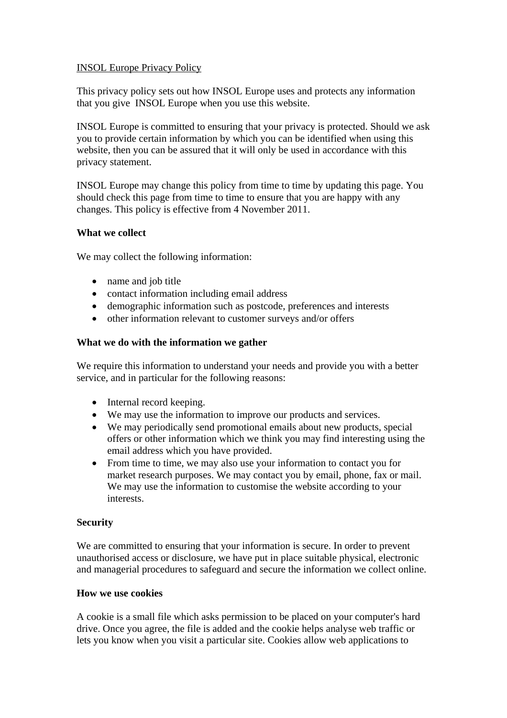# INSOL Europe Privacy Policy

This privacy policy sets out how INSOL Europe uses and protects any information that you give INSOL Europe when you use this website.

INSOL Europe is committed to ensuring that your privacy is protected. Should we ask you to provide certain information by which you can be identified when using this website, then you can be assured that it will only be used in accordance with this privacy statement.

INSOL Europe may change this policy from time to time by updating this page. You should check this page from time to time to ensure that you are happy with any changes. This policy is effective from 4 November 2011.

## **What we collect**

We may collect the following information:

- name and job title
- contact information including email address
- demographic information such as postcode, preferences and interests
- other information relevant to customer surveys and/or offers

## **What we do with the information we gather**

We require this information to understand your needs and provide you with a better service, and in particular for the following reasons:

- Internal record keeping.
- We may use the information to improve our products and services.
- We may periodically send promotional emails about new products, special offers or other information which we think you may find interesting using the email address which you have provided.
- From time to time, we may also use your information to contact you for market research purposes. We may contact you by email, phone, fax or mail. We may use the information to customise the website according to your interests.

## **Security**

We are committed to ensuring that your information is secure. In order to prevent unauthorised access or disclosure, we have put in place suitable physical, electronic and managerial procedures to safeguard and secure the information we collect online.

## **How we use cookies**

A cookie is a small file which asks permission to be placed on your computer's hard drive. Once you agree, the file is added and the cookie helps analyse web traffic or lets you know when you visit a particular site. Cookies allow web applications to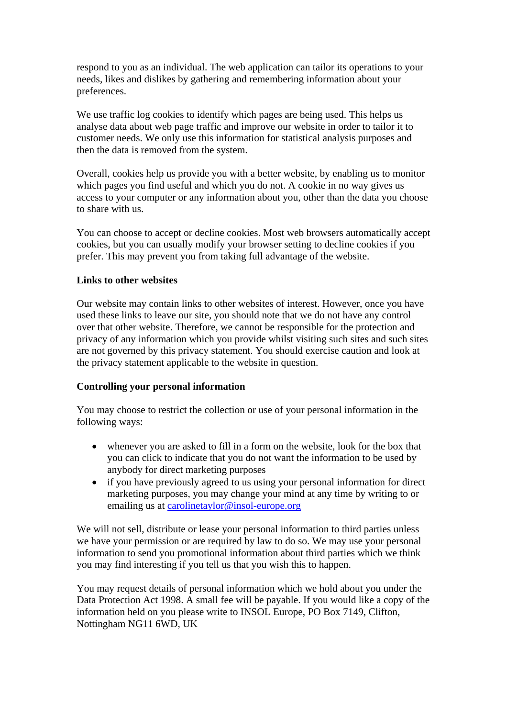respond to you as an individual. The web application can tailor its operations to your needs, likes and dislikes by gathering and remembering information about your preferences.

We use traffic log cookies to identify which pages are being used. This helps us analyse data about web page traffic and improve our website in order to tailor it to customer needs. We only use this information for statistical analysis purposes and then the data is removed from the system.

Overall, cookies help us provide you with a better website, by enabling us to monitor which pages you find useful and which you do not. A cookie in no way gives us access to your computer or any information about you, other than the data you choose to share with us.

You can choose to accept or decline cookies. Most web browsers automatically accept cookies, but you can usually modify your browser setting to decline cookies if you prefer. This may prevent you from taking full advantage of the website.

## **Links to other websites**

Our website may contain links to other websites of interest. However, once you have used these links to leave our site, you should note that we do not have any control over that other website. Therefore, we cannot be responsible for the protection and privacy of any information which you provide whilst visiting such sites and such sites are not governed by this privacy statement. You should exercise caution and look at the privacy statement applicable to the website in question.

## **Controlling your personal information**

You may choose to restrict the collection or use of your personal information in the following ways:

- whenever you are asked to fill in a form on the website, look for the box that you can click to indicate that you do not want the information to be used by anybody for direct marketing purposes
- if you have previously agreed to us using your personal information for direct marketing purposes, you may change your mind at any time by writing to or emailing us at carolinetaylor@insol-europe.org

We will not sell, distribute or lease your personal information to third parties unless we have your permission or are required by law to do so. We may use your personal information to send you promotional information about third parties which we think you may find interesting if you tell us that you wish this to happen.

You may request details of personal information which we hold about you under the Data Protection Act 1998. A small fee will be payable. If you would like a copy of the information held on you please write to INSOL Europe, PO Box 7149, Clifton, Nottingham NG11 6WD, UK